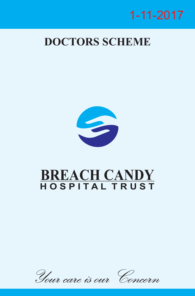# 1-11-2017

## **DOCTORS SCHEME**



## **BREACH CANDY H O S P I T A L T R U S T**

Your care is our Concern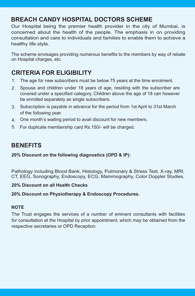## **BREACH CANDY HOSPITAL DOCTORS SCHEME**

Our Hospital being the premier health provider in the city of Mumbai, is concerned about the health of the people. The emphasis in on providing consultation and care to individuals and families to enable them to achieve a healthy life style.

The scheme envisages providing numerous benefits to the members by way of rebate on Hospital charges, etc.

## **CRITERIA FOR ELIGIBILITY**

- The age for new subscribers must be below 75 years at the time enrolment. 1.
- Spouse and children under 18 years of age, residing with the subscriber are covered under a specified category. Children above the age of 18 can however be enrolled separately as single subscribers. 2.
- Subscription is payable in advance for the period from 1st April to 31st March of the following year. 3.
- One month's waiting period to avail discount for new members. 4.
- For duplicate membership card Rs.150/- will be charged. 5.

### **BENEFITS**

#### **20% Discount on the following diagnostics (OPD & IP):**

Pathology including Blood Bank, Histology, Pulmonary & Stress Test, X-ray, MRI, CT, EEG, Sonography, Endoscopy, ECG, Mammography, Color Doppler Studies.

#### **20% Discount on all Health Checks**

#### **20% Discount on Physiotherapy & Endoscopy Procedures.**

#### **NOTE**

The Trust engages the services of a number of eminent consultants with facilities for consultation at the Hospital by prior appointment, which may be obtained from the respective secretaries or OPD Reception.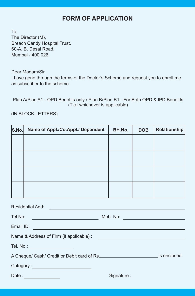## **FORM OF APPLICATION**

To, The Director (M), Breach Candy Hospital Trust, 60-A, B. Desai Road, Mumbai - 400 026.

Dear Madam/Sir,

I have gone through the terms of the Doctor's Scheme and request you to enroll me as subscriber to the scheme.

Plan A/Plan A1 - OPD Benefits only / Plan B/Plan B1 - For Both OPD & IPD Benefits (Tick whichever is applicable)

(IN BLOCK LETTERS)

| S.No. | Name of Appl./Co.Appl./ Dependent | BH.No. | <b>DOB</b> | Relationship |
|-------|-----------------------------------|--------|------------|--------------|
|       |                                   |        |            |              |
|       |                                   |        |            |              |
|       |                                   |        |            |              |
|       |                                   |        |            |              |
|       |                                   |        |            |              |
|       |                                   |        |            |              |
|       |                                   |        |            |              |
|       |                                   |        |            |              |

| <b>Residential Add:</b>                                                                                       |                                                                                                                  |  |
|---------------------------------------------------------------------------------------------------------------|------------------------------------------------------------------------------------------------------------------|--|
| Tel No:<br><u> 1990 - Johann Barbara, martin a</u>                                                            | Mob. No:                                                                                                         |  |
| Email ID:<br><u> 1980 - Andrea Britain, amerikan personal (h. 1980)</u>                                       |                                                                                                                  |  |
| Name & Address of Firm (if applicable) :                                                                      | and the control of the control of the control of the control of the control of the control of the control of the |  |
| Tel. No.: <u>_________________</u>                                                                            |                                                                                                                  |  |
| A Cheque/ Cash/ Credit or Debit card of Rs.                                                                   | is enclosed.                                                                                                     |  |
| Category: 2008 2012 2022 2023 2024 2022 2023 2024 2022 2023 2024 2022 2023 2024 2022 2023 2024 2025 2026 2027 |                                                                                                                  |  |
| Date:                                                                                                         | Signature:                                                                                                       |  |